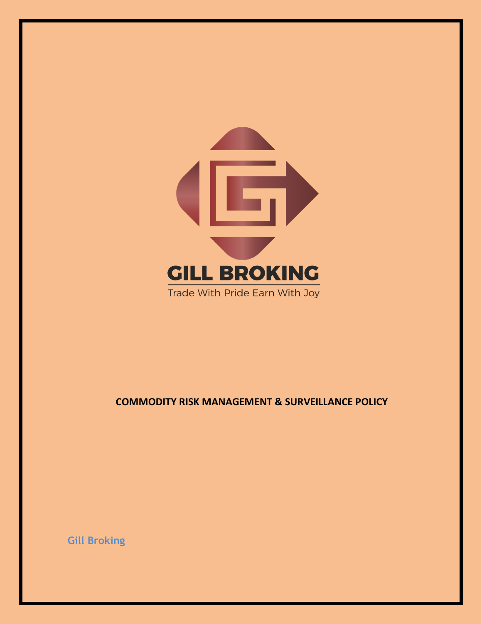

# **COMMODITY RISK MANAGEMENT & SURVEILLANCE POLICY**

**Gill Broking**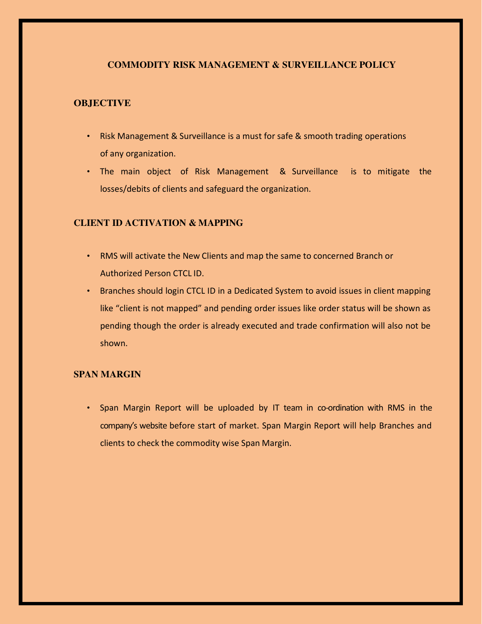## **COMMODITY RISK MANAGEMENT & SURVEILLANCE POLICY**

### **OBJECTIVE**

- Risk Management & Surveillance is a must for safe & smooth trading operations of any organization.
- The main object of Risk Management & Surveillance is to mitigate the losses/debits of clients and safeguard the organization.

# **CLIENT ID ACTIVATION & MAPPING**

- RMS will activate the New Clients and map the same to concerned Branch or Authorized Person CTCL ID.
- Branches should login CTCL ID in a Dedicated System to avoid issues in client mapping like "client is not mapped" and pending order issues like order status will be shown as pending though the order is already executed and trade confirmation will also not be shown.

# **SPAN MARGIN**

• Span Margin Report will be uploaded by IT team in co-ordination with RMS in the company's website before start of market. Span Margin Report will help Branches and clients to check the commodity wise Span Margin.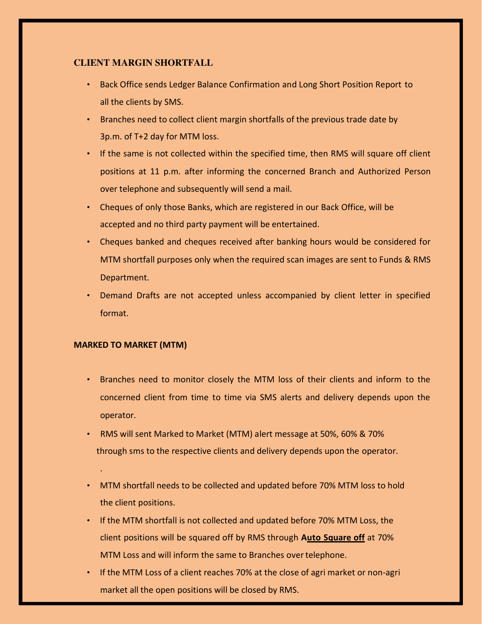## **CLIENT MARGIN SHORTFALL**

- Back Office sends Ledger Balance Confirmation and Long Short Position Report to all the clients by SMS.
- Branches need to collect client margin shortfalls of the previous trade date by 3p.m. of T+2 day for MTM loss.
- If the same is not collected within the specified time, then RMS will square off client positions at 11 p.m. after informing the concerned Branch and Authorized Person over telephone and subsequently will send a mail.
- Cheques of only those Banks, which are registered in our Back Office, will be accepted and no third party payment will be entertained.
- Cheques banked and cheques received after banking hours would be considered for MTM shortfall purposes only when the required scan images are sent to Funds & RMS Department.
- Demand Drafts are not accepted unless accompanied by client letter in specified format.

### **MARKED TO MARKET (MTM)**

.

- Branches need to monitor closely the MTM loss of their clients and inform to the concerned client from time to time via SMS alerts and delivery depends upon the operator.
- RMS will sent Marked to Market (MTM) alert message at 50%, 60% & 70% through sms to the respective clients and delivery depends upon the operator.
- MTM shortfall needs to be collected and updated before 70% MTM loss to hold the client positions.
- If the MTM shortfall is not collected and updated before 70% MTM Loss, the client positions will be squared off by RMS through **Auto Square off** at 70% MTM Loss and will inform the same to Branches over telephone.
- If the MTM Loss of a client reaches 70% at the close of agri market or non-agri market all the open positions will be closed by RMS.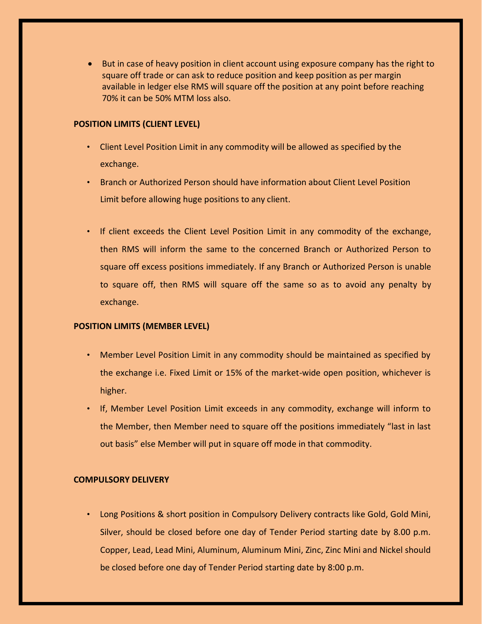But in case of heavy position in client account using exposure company has the right to square off trade or can ask to reduce position and keep position as per margin available in ledger else RMS will square off the position at any point before reaching 70% it can be 50% MTM loss also.

#### **POSITION LIMITS (CLIENT LEVEL)**

- Client Level Position Limit in any commodity will be allowed as specified by the exchange.
- Branch or Authorized Person should have information about Client Level Position Limit before allowing huge positions to any client.
- If client exceeds the Client Level Position Limit in any commodity of the exchange, then RMS will inform the same to the concerned Branch or Authorized Person to square off excess positions immediately. If any Branch or Authorized Person is unable to square off, then RMS will square off the same so as to avoid any penalty by exchange.

#### **POSITION LIMITS (MEMBER LEVEL)**

- Member Level Position Limit in any commodity should be maintained as specified by the exchange i.e. Fixed Limit or 15% of the market-wide open position, whichever is higher.
- If, Member Level Position Limit exceeds in any commodity, exchange will inform to the Member, then Member need to square off the positions immediately "last in last out basis" else Member will put in square off mode in that commodity.

#### **COMPULSORY DELIVERY**

• Long Positions & short position in Compulsory Delivery contracts like Gold, Gold Mini, Silver, should be closed before one day of Tender Period starting date by 8.00 p.m. Copper, Lead, Lead Mini, Aluminum, Aluminum Mini, Zinc, Zinc Mini and Nickel should be closed before one day of Tender Period starting date by 8:00 p.m.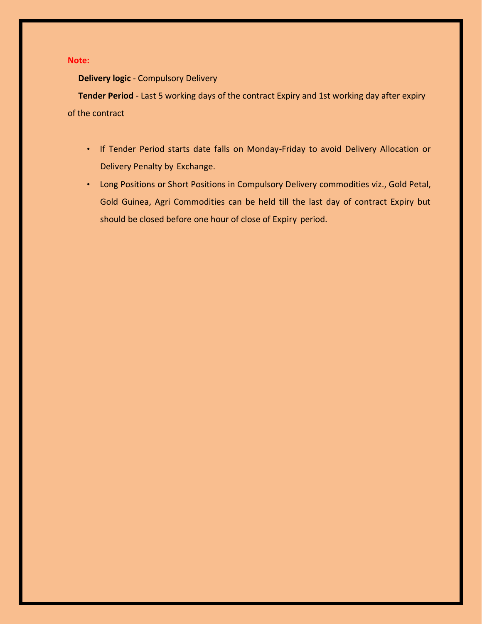#### **Note:**

**Delivery logic** - Compulsory Delivery

**Tender Period** - Last 5 working days of the contract Expiry and 1st working day after expiry of the contract

- If Tender Period starts date falls on Monday-Friday to avoid Delivery Allocation or Delivery Penalty by Exchange.
- Long Positions or Short Positions in Compulsory Delivery commodities viz., Gold Petal, Gold Guinea, Agri Commodities can be held till the last day of contract Expiry but should be closed before one hour of close of Expiry period.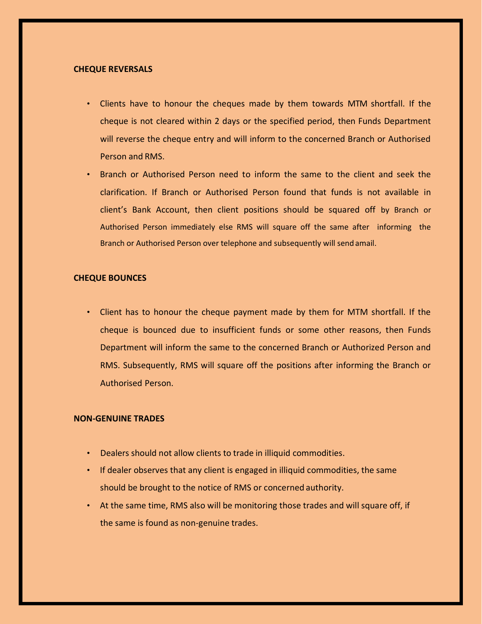#### **CHEQUE REVERSALS**

- Clients have to honour the cheques made by them towards MTM shortfall. If the cheque is not cleared within 2 days or the specified period, then Funds Department will reverse the cheque entry and will inform to the concerned Branch or Authorised Person and RMS.
- Branch or Authorised Person need to inform the same to the client and seek the clarification. If Branch or Authorised Person found that funds is not available in client's Bank Account, then client positions should be squared off by Branch or Authorised Person immediately else RMS will square off the same after informing the Branch or Authorised Person over telephone and subsequently will send amail.

### **CHEQUE BOUNCES**

• Client has to honour the cheque payment made by them for MTM shortfall. If the cheque is bounced due to insufficient funds or some other reasons, then Funds Department will inform the same to the concerned Branch or Authorized Person and RMS. Subsequently, RMS will square off the positions after informing the Branch or Authorised Person.

#### **NON-GENUINE TRADES**

- Dealers should not allow clients to trade in illiquid commodities.
- If dealer observes that any client is engaged in illiquid commodities, the same should be brought to the notice of RMS or concerned authority.
- At the same time, RMS also will be monitoring those trades and will square off, if the same is found as non-genuine trades.